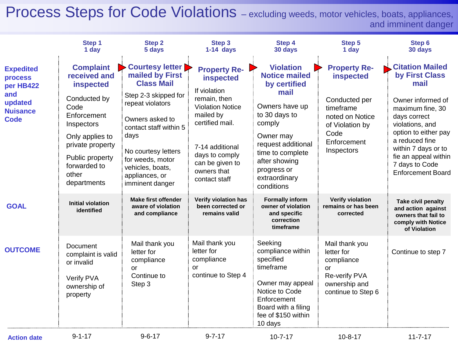Process Steps for Code Violations - excluding weeds, motor vehicles, boats, appliances, and imminent danger

|                                                                                                     | Step 1<br>1 day                                                                                                                                                                                      | <b>Step 2</b><br>5 days                                                                                                                                                                                                                                      | Step 3<br>$1-14$ days                                                                                                                                                                                               | Step 4<br>30 days                                                                                                                                                                                                                   | <b>Step 5</b><br>1 day                                                                                                                           | Step 6<br>30 days                                                                                                                                                                                                                                                   |
|-----------------------------------------------------------------------------------------------------|------------------------------------------------------------------------------------------------------------------------------------------------------------------------------------------------------|--------------------------------------------------------------------------------------------------------------------------------------------------------------------------------------------------------------------------------------------------------------|---------------------------------------------------------------------------------------------------------------------------------------------------------------------------------------------------------------------|-------------------------------------------------------------------------------------------------------------------------------------------------------------------------------------------------------------------------------------|--------------------------------------------------------------------------------------------------------------------------------------------------|---------------------------------------------------------------------------------------------------------------------------------------------------------------------------------------------------------------------------------------------------------------------|
| <b>Expedited</b><br><b>process</b><br>per HB422<br>and<br>updated<br><b>Nuisance</b><br><b>Code</b> | <b>Complaint</b><br>received and<br>inspected<br>Conducted by<br>Code<br>Enforcement<br>Inspectors<br>Only applies to<br>private property<br>Public property<br>forwarded to<br>other<br>departments | Courtesy letter<br>mailed by First<br><b>Class Mail</b><br>Step 2-3 skipped for<br>repeat violators<br>Owners asked to<br>contact staff within 5<br>days<br>No courtesy letters<br>for weeds, motor<br>vehicles, boats,<br>appliances, or<br>imminent danger | <b>Property Re-</b><br>inspected<br>If violation<br>remain, then<br><b>Violation Notice</b><br>mailed by<br>certified mail.<br>7-14 additional<br>days to comply<br>can be given to<br>owners that<br>contact staff | <b>Violation</b><br><b>Notice mailed</b><br>by certified<br>mail<br>Owners have up<br>to 30 days to<br>comply<br>Owner may<br>request additional<br>time to complete<br>after showing<br>progress or<br>extraordinary<br>conditions | <b>Property Re-</b><br><b>inspected</b><br>Conducted per<br>timeframe<br>noted on Notice<br>of Violation by<br>Code<br>Enforcement<br>Inspectors | <b>Citation Mailed</b><br>by First Class<br>mail<br>Owner informed of<br>maximum fine, 30<br>days correct<br>violations, and<br>option to either pay<br>a reduced fine<br>within 7 days or to<br>fie an appeal within<br>7 days to Code<br><b>Enforcement Board</b> |
| <b>GOAL</b>                                                                                         | <b>Initial violation</b><br>identified                                                                                                                                                               | <b>Make first offender</b><br>aware of violation<br>and compliance                                                                                                                                                                                           | Verify violation has<br>been corrected or<br>remains valid                                                                                                                                                          | <b>Formally inform</b><br>owner of violation<br>and specific<br>correction<br>timeframe                                                                                                                                             | <b>Verify violation</b><br>remains or has been<br>corrected                                                                                      | <b>Take civil penalty</b><br>and action against<br>owners that fail to<br>comply with Notice<br>of Violation                                                                                                                                                        |
| <b>OUTCOME</b>                                                                                      | Document<br>complaint is valid<br>or invalid<br>Verify PVA<br>ownership of<br>property                                                                                                               | Mail thank you<br>letter for<br>compliance<br><b>or</b><br>Continue to<br>Step 3                                                                                                                                                                             | Mail thank you<br>letter for<br>compliance<br>or<br>continue to Step 4                                                                                                                                              | Seeking<br>compliance within<br>specified<br>timeframe<br>Owner may appeal<br>Notice to Code<br>Enforcement<br>Board with a filing<br>fee of \$150 within<br>10 days                                                                | Mail thank you<br>letter for<br>compliance<br>or<br>Re-verify PVA<br>ownership and<br>continue to Step 6                                         | Continue to step 7                                                                                                                                                                                                                                                  |
| <b>Action date</b>                                                                                  | $9 - 1 - 17$                                                                                                                                                                                         | $9 - 6 - 17$                                                                                                                                                                                                                                                 | $9 - 7 - 17$                                                                                                                                                                                                        | $10 - 7 - 17$                                                                                                                                                                                                                       | $10 - 8 - 17$                                                                                                                                    | $11 - 7 - 17$                                                                                                                                                                                                                                                       |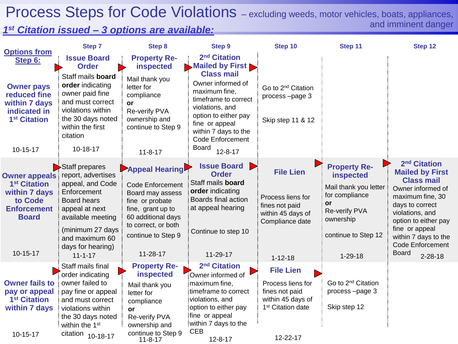## Process Steps for Code Violations - excluding weeds, motor vehicles, boats, appliances, and imminent danger *1 st Citation issued – 3 options are available:*

|                                                                                                                                  | <b>Step 7</b>                                                                                                                                                                                                    | <b>Step 8</b>                                                                                                                                                                                     | <b>Step 9</b>                                                                                                                                                                                                                    | Step 10                                                                                                       | Step 11                                                                                                                                                 | Step 12                                                                                                                                                                                                                                                                              |
|----------------------------------------------------------------------------------------------------------------------------------|------------------------------------------------------------------------------------------------------------------------------------------------------------------------------------------------------------------|---------------------------------------------------------------------------------------------------------------------------------------------------------------------------------------------------|----------------------------------------------------------------------------------------------------------------------------------------------------------------------------------------------------------------------------------|---------------------------------------------------------------------------------------------------------------|---------------------------------------------------------------------------------------------------------------------------------------------------------|--------------------------------------------------------------------------------------------------------------------------------------------------------------------------------------------------------------------------------------------------------------------------------------|
| <b>Options from</b><br>Step 6:                                                                                                   | <b>Issue Board</b><br><b>Order</b>                                                                                                                                                                               | <b>Property Re-</b><br>inspected                                                                                                                                                                  | 2 <sup>nd</sup> Citation<br><b>Mailed by First</b>                                                                                                                                                                               |                                                                                                               |                                                                                                                                                         |                                                                                                                                                                                                                                                                                      |
| <b>Owner pays</b><br>reduced fine<br>within 7 days<br>indicated in<br>1 <sup>st</sup> Citation<br>10-15-17                       | Staff mails board<br>order indicating<br>owner paid fine<br>and must correct<br>violations within<br>the 30 days noted<br>within the first<br>citation<br>10-18-17                                               | Mail thank you<br>letter for<br>compliance<br>or<br>Re-verify PVA<br>ownership and<br>continue to Step 9<br>$11 - 8 - 17$                                                                         | <b>Class mail</b><br>Owner informed of<br>maximum fine,<br>timeframe to correct<br>violations, and<br>option to either pay<br>fine or appeal<br>within 7 days to the<br><b>Code Enforcement</b><br><b>Board</b><br>$12 - 8 - 17$ | Go to 2 <sup>nd</sup> Citation<br>process-page 3<br>Skip step 11 & 12                                         |                                                                                                                                                         |                                                                                                                                                                                                                                                                                      |
| <b>Owner appeals</b><br>1 <sup>st</sup> Citation<br>within 7 days<br>to Code<br><b>Enforcement</b><br><b>Board</b><br>$10-15-17$ | Staff prepares<br>report, advertises<br>appeal, and Code<br>Enforcement<br><b>Board hears</b><br>appeal at next<br>available meeting<br>(minimum 27 days<br>and maximum 60<br>days for hearing)<br>$11 - 1 - 17$ | <b>Appeal Hearing</b><br><b>Code Enforcement</b><br>Board may assess<br>fine or probate<br>fine, grant up to<br>60 additional days<br>to correct, or both<br>continue to Step 9<br>$11 - 28 - 17$ | <b>Issue Board</b><br><b>Order</b><br>Staff mails board<br>order indicating<br>Boards final action<br>at appeal hearing<br>Continue to step 10<br>11-29-17                                                                       | <b>File Lien</b><br>Process liens for<br>fines not paid<br>within 45 days of<br>Compliance date               | <b>Property Re-</b><br>inspected<br>Mail thank you letter<br>for compliance<br>or<br>Re-verify PVA<br>ownership<br>continue to Step 12<br>$1 - 29 - 18$ | 2 <sup>nd</sup> Citation<br><b>Mailed by First</b><br><b>Class mail</b><br>Owner informed of<br>maximum fine, 30<br>days to correct<br>violations, and<br>option to either pay<br>fine or appeal<br>within 7 days to the<br><b>Code Enforcement</b><br><b>Board</b><br>$2 - 28 - 18$ |
|                                                                                                                                  | Staff mails final                                                                                                                                                                                                | <b>Property Re-</b>                                                                                                                                                                               | 2 <sup>nd</sup> Citation                                                                                                                                                                                                         | $1 - 12 - 18$                                                                                                 |                                                                                                                                                         |                                                                                                                                                                                                                                                                                      |
| <b>Owner fails to</b><br>pay or appeal<br>1 <sup>st</sup> Citation<br>within 7 days                                              | order indicating<br>owner failed to<br>pay fine or appeal<br>and must correct<br>violations within<br>the 30 days noted<br>within the 1 <sup>st</sup>                                                            | <b>inspected</b><br>Mail thank you<br>letter for<br>compliance<br>or<br>Re-verify PVA<br>ownership and                                                                                            | Owner informed of<br>maximum fine,<br>timeframe to correct<br>violations, and<br>option to either pay<br>fine or appeal<br>within 7 days to the                                                                                  | <b>File Lien</b><br>Process liens for<br>fines not paid<br>within 45 days of<br>1 <sup>st</sup> Citation date | Go to 2 <sup>nd</sup> Citation<br>process-page 3<br>Skip step 12                                                                                        |                                                                                                                                                                                                                                                                                      |
| $10-15-17$                                                                                                                       | citation $10-18-17$                                                                                                                                                                                              | continue to Step 9<br>$11 - 8 - 17$                                                                                                                                                               | <b>CEB</b><br>$12 - 8 - 17$                                                                                                                                                                                                      | 12-22-17                                                                                                      |                                                                                                                                                         |                                                                                                                                                                                                                                                                                      |